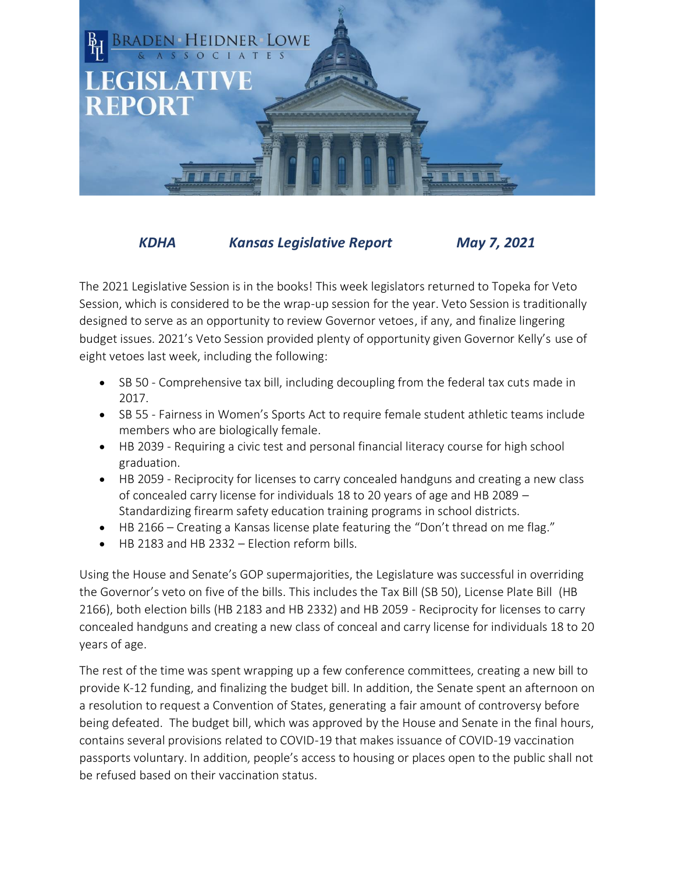

*KDHA Kansas Legislative Report May 7, 2021*

The 2021 Legislative Session is in the books! This week legislators returned to Topeka for Veto Session, which is considered to be the wrap-up session for the year. Veto Session is traditionally designed to serve as an opportunity to review Governor vetoes, if any, and finalize lingering budget issues. 2021's Veto Session provided plenty of opportunity given Governor Kelly's use of eight vetoes last week, including the following:

- SB 50 Comprehensive tax bill, including decoupling from the federal tax cuts made in 2017.
- SB 55 Fairness in Women's Sports Act to require female student athletic teams include members who are biologically female.
- HB 2039 Requiring a civic test and personal financial literacy course for high school graduation.
- HB 2059 Reciprocity for licenses to carry concealed handguns and creating a new class of concealed carry license for individuals 18 to 20 years of age and HB 2089 – Standardizing firearm safety education training programs in school districts.
- HB 2166 Creating a Kansas license plate featuring the "Don't thread on me flag."
- HB 2183 and HB 2332 Election reform bills.

Using the House and Senate's GOP supermajorities, the Legislature was successful in overriding the Governor's veto on five of the bills. This includes the Tax Bill (SB 50), License Plate Bill (HB 2166), both election bills (HB 2183 and HB 2332) and HB 2059 - Reciprocity for licenses to carry concealed handguns and creating a new class of conceal and carry license for individuals 18 to 20 years of age.

The rest of the time was spent wrapping up a few conference committees, creating a new bill to provide K-12 funding, and finalizing the budget bill. In addition, the Senate spent an afternoon on a resolution to request a Convention of States, generating a fair amount of controversy before being defeated. The budget bill, which was approved by the House and Senate in the final hours, contains several provisions related to COVID-19 that makes issuance of COVID-19 vaccination passports voluntary. In addition, people's access to housing or places open to the public shall not be refused based on their vaccination status.